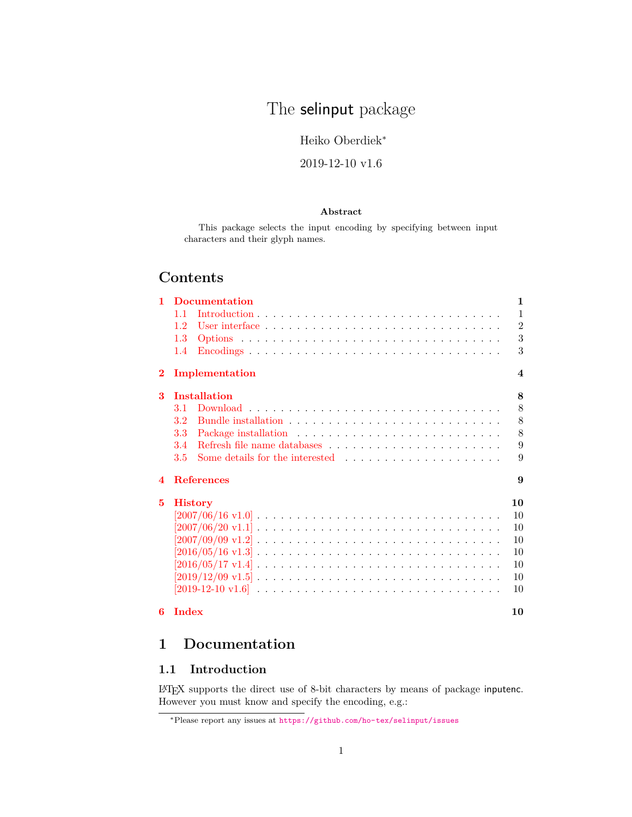# The selinput package

Heiko Oberdiek<sup>∗</sup>

### 2019-12-10 v1.6

#### **Abstract**

This package selects the input encoding by specifying between input characters and their glyph names.

## **Contents**

| 1                | <b>Documentation</b>                                                                                            | 1                       |
|------------------|-----------------------------------------------------------------------------------------------------------------|-------------------------|
|                  | 11                                                                                                              | 1                       |
|                  | 1.2                                                                                                             | $\overline{2}$          |
|                  | 1.3                                                                                                             | 3                       |
|                  | $\rm{Encodings}$<br>1.4                                                                                         | 3                       |
| $\bf{2}$         | Implementation                                                                                                  | $\overline{\mathbf{4}}$ |
| 3                | <b>Installation</b>                                                                                             | 8                       |
|                  | 3.1                                                                                                             | 8                       |
|                  | 3.2                                                                                                             | 8                       |
|                  | 3.3                                                                                                             | 8                       |
|                  | 3.4                                                                                                             | 9                       |
|                  | 3.5                                                                                                             | 9                       |
| $\boldsymbol{4}$ | <b>References</b>                                                                                               | 9                       |
| 5                | <b>History</b>                                                                                                  | 10                      |
|                  | $[2007/06/16 \text{ v}1.0] \ldots \ldots \ldots \ldots \ldots \ldots \ldots \ldots \ldots \ldots \ldots$        | 10                      |
|                  | $[2007/06/20 \text{ v}1.1] \ldots \ldots \ldots \ldots \ldots \ldots \ldots \ldots \ldots \ldots \ldots \ldots$ | 10                      |
|                  |                                                                                                                 | 10                      |
|                  |                                                                                                                 | 10                      |
|                  |                                                                                                                 | 10                      |
|                  |                                                                                                                 | 10                      |
|                  |                                                                                                                 | 10                      |
| 6                | Index                                                                                                           | 10                      |

## <span id="page-0-0"></span>**1 Documentation**

### <span id="page-0-1"></span>**1.1 Introduction**

LATEX supports the direct use of 8-bit characters by means of package inputenc. However you must know and specify the encoding, e.g.:

<sup>∗</sup>Please report any issues at <https://github.com/ho-tex/selinput/issues>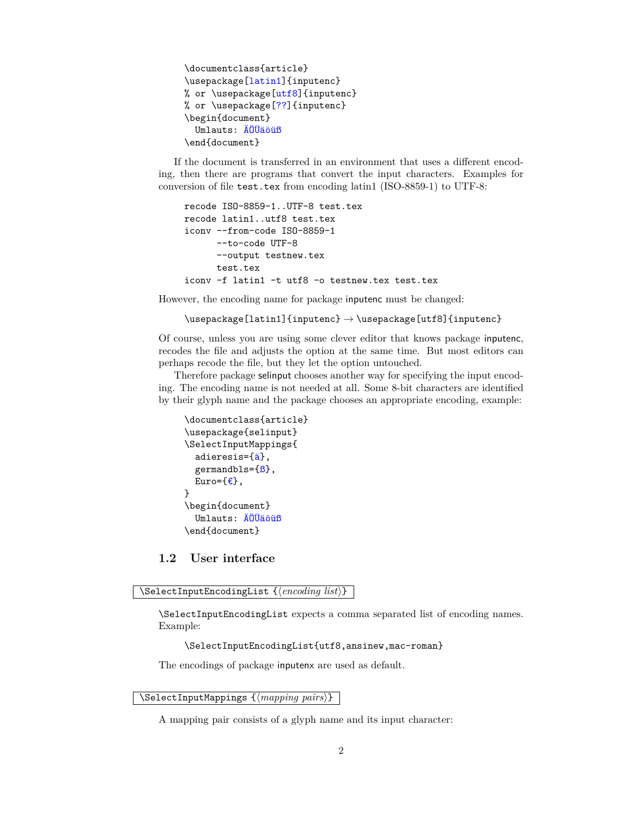```
\documentclass{article}
\usepackage[latin1]{inputenc}
% or \usepackage[utf8]{inputenc}
% or \usepackage[??]{inputenc}
\begin{document}
  Umlauts: ÄÖÜäöüß
\end{document}
```
If the document is transferred in an environment that uses a different encoding, then there are programs that convert the input characters. Examples for conversion of file test.tex from encoding latin1 (ISO-8859-1) to UTF-8:

```
recode ISO-8859-1..UTF-8 test.tex
recode latin1..utf8 test.tex
iconv --from-code ISO-8859-1
      --to-code UTF-8
      --output testnew.tex
      test.tex
iconv -f latin1 -t utf8 -o testnew.tex test.tex
```
However, the encoding name for package inputenc must be changed:

\usepackage[latin1]{inputenc} → \usepackage[utf8]{inputenc}

Of course, unless you are using some clever editor that knows package inputenc, recodes the file and adjusts the option at the same time. But most editors can perhaps recode the file, but they let the option untouched.

Therefore package selinput chooses another way for specifying the input encoding. The encoding name is not needed at all. Some 8-bit characters are identified by their glyph name and the package chooses an appropriate encoding, example:

```
\documentclass{article}
\usepackage{selinput}
\SelectInputMappings{
  adieresis={ä},
  germandbls=\{6\},
  Euro=\{\epsilon\},}
\begin{document}
  Umlauts: ÄÖÜäöüß
\end{document}
```
<span id="page-1-0"></span>**1.2 User interface**

#### <span id="page-1-1"></span>\SelectInputEncodingList {\*encoding list*}}

\SelectInputEncodingList expects a comma separated list of encoding names. Example:

\SelectInputEncodingList{utf8,ansinew,mac-roman}

The encodings of package inputenx are used as default.

<span id="page-1-2"></span>\SelectInputMappings  ${\langle \textit{mapping pairs} \rangle}$ 

A mapping pair consists of a glyph name and its input character: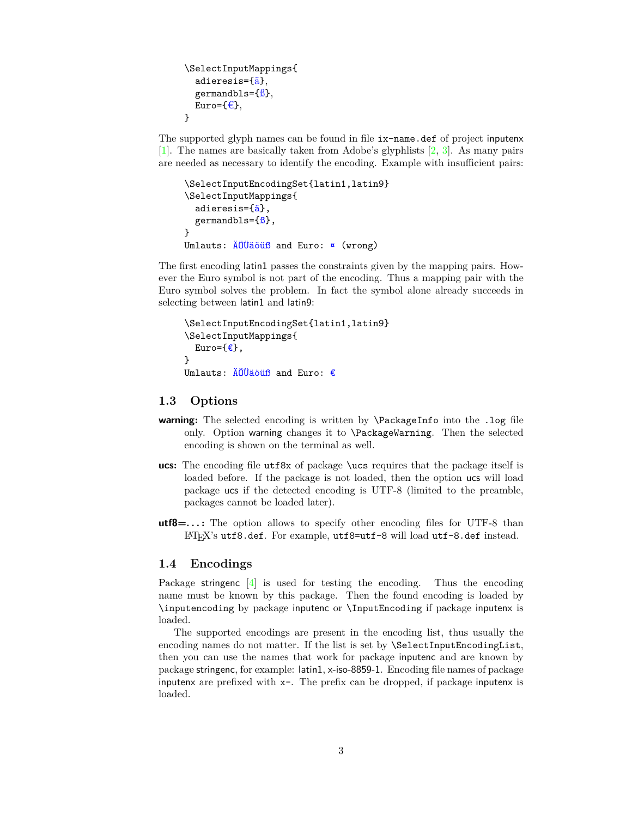```
\SelectInputMappings{
   adieresis={ä},
   germandbls=\{\hat{\beta}\},\Euro=\{\epsilon\},\}
```
The supported glyph names can be found in file  $ix$ -name.def of project inputenx [\[1\]](#page-8-3). The names are basically taken from Adobe's glyphlists [\[2,](#page-8-4) [3\]](#page-8-5). As many pairs are needed as necessary to identify the encoding. Example with insufficient pairs:

```
\SelectInputEncodingSet{latin1,latin9}
\SelectInputMappings{
  adieresis={ä},
  germandbls=\{\beta\},
}
Umlauts: ÄÖÜäöüß and Euro: ¤ (wrong)
```
The first encoding latin1 passes the constraints given by the mapping pairs. However the Euro symbol is not part of the encoding. Thus a mapping pair with the Euro symbol solves the problem. In fact the symbol alone already succeeds in selecting between latin1 and latin9:

```
\SelectInputEncodingSet{latin1,latin9}
\SelectInputMappings{
  Euro=\{\epsilon\},}
Umlauts: ÄÖÜäöüß and Euro: €
```
#### <span id="page-2-0"></span>**1.3 Options**

- **warning:** The selected encoding is written by **\PackageInfo** into the .log file only. Option warning changes it to \PackageWarning. Then the selected encoding is shown on the terminal as well.
- **ucs:** The encoding file utf8x of package \ucs requires that the package itself is loaded before. If the package is not loaded, then the option ucs will load package ucs if the detected encoding is UTF-8 (limited to the preamble, packages cannot be loaded later).
- **utf8=. . . :** The option allows to specify other encoding files for UTF-8 than LATEX's utf8.def. For example, utf8=utf-8 will load utf-8.def instead.

#### <span id="page-2-1"></span>**1.4 Encodings**

Package stringenc [\[4\]](#page-8-6) is used for testing the encoding. Thus the encoding name must be known by this package. Then the found encoding is loaded by \inputencoding by package inputenc or \InputEncoding if package inputenx is loaded.

The supported encodings are present in the encoding list, thus usually the encoding names do not matter. If the list is set by \SelectInputEncodingList, then you can use the names that work for package inputenc and are known by package stringenc, for example: latin1, x-iso-8859-1. Encoding file names of package inputenx are prefixed with x-. The prefix can be dropped, if package inputenx is loaded.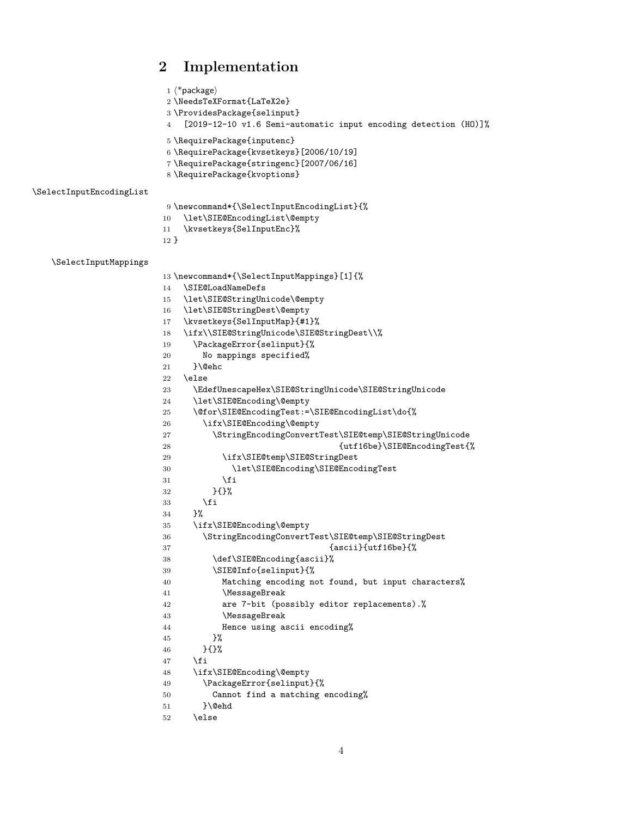### <span id="page-3-34"></span><span id="page-3-27"></span><span id="page-3-26"></span><span id="page-3-25"></span><span id="page-3-24"></span><span id="page-3-23"></span><span id="page-3-21"></span><span id="page-3-20"></span><span id="page-3-19"></span><span id="page-3-18"></span><span id="page-3-15"></span><span id="page-3-14"></span><span id="page-3-11"></span><span id="page-3-5"></span><span id="page-3-4"></span><span id="page-3-3"></span><span id="page-3-1"></span><span id="page-3-0"></span>**2 Implementation**

```
1 \langle *package\rangle2 \NeedsTeXFormat{LaTeX2e}
                        3 \ProvidesPackage{selinput}
                        4 [2019-12-10 v1.6 Semi-automatic input encoding detection (HO)]%
                        5 \RequirePackage{inputenc}
                        6 \RequirePackage{kvsetkeys}[2006/10/19]
                        7 \RequirePackage{stringenc}[2007/06/16]
                        8 \RequirePackage{kvoptions}
\SelectInputEncodingList
                        9 \newcommand*{\SelectInputEncodingList}{%
                        10 \let\SIE@EncodingList\@empty
                        11 \kvsetkeys{SelInputEnc}%
                        12 }
   \SelectInputMappings
                        13 \newcommand*{\SelectInputMappings}[1]{%
                        14 \SIE@LoadNameDefs
                        15 \let\SIE@StringUnicode\@empty
                        16 \let\SIE@StringDest\@empty
                        17 \kvsetkeys{SelInputMap}{#1}%
                        18 \ifx\\SIE@StringUnicode\SIE@StringDest\\%
                        19 \PackageError{selinput}{%
                        20 No mappings specified%
                        21 }\@ehc
                        22 \else
                        23 \EdefUnescapeHex\SIE@StringUnicode\SIE@StringUnicode
                        24 \let\SIE@Encoding\@empty
                        25 \@for\SIE@EncodingTest:=\SIE@EncodingList\do{%
                        26 \ifx\SIE@Encoding\@empty
                        27 \StringEncodingConvertTest\SIE@temp\SIE@StringUnicode
                        28 {utf16be}\SIE@EncodingTest{%
                        29 \ifx\SIE@temp\SIE@StringDest
                        30 \let\SIE@Encoding\SIE@EncodingTest
                        31 \overline{\phantom{a}} \fi
                        32 }{}%
                        33 \overline{\ } \}34 }%
                        35 \ifx\SIE@Encoding\@empty
                        36 \StringEncodingConvertTest\SIE@temp\SIE@StringDest
                        37 {ascii}{utf16be}{%}
                        38 \def\SIE@Encoding{ascii}%
                        39 \SIE@Info{selinput}{%
                        40 Matching encoding not found, but input characters%
                        41 \MessageBreak
                        42 are 7-bit (possibly editor replacements).%
                        43 \MessageBreak
                        44 Hence using ascii encoding%
                        45 }%
                        46 }{}%
                        47 \fi
                        48 \ifx\SIE@Encoding\@empty
                        49 \PackageError{selinput}{%
                        50 Cannot find a matching encoding%
                        51 }\@ehd
                        52 \else
```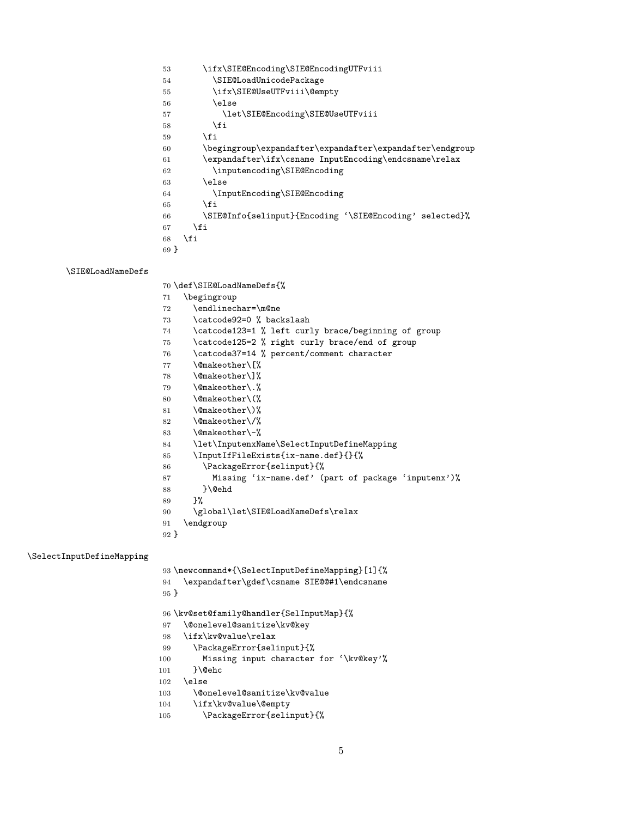<span id="page-4-36"></span><span id="page-4-33"></span><span id="page-4-23"></span><span id="page-4-20"></span><span id="page-4-17"></span><span id="page-4-7"></span>

| 53     | \ifx\SIE@Encoding\SIE@EncodingUTFviii                    |
|--------|----------------------------------------------------------|
| 54     | \SIE@LoadUnicodePackage                                  |
| 55     | \ifx\SIE@UseUTFviii\@empty                               |
| 56     | \else                                                    |
| 57     | \let\SIE@Encoding\SIE@UseUTFviii                         |
| 58     | \fi                                                      |
| 59     | \fi                                                      |
| 60     | \begingroup\expandafter\expandafter\expandafter\endgroup |
| 61     | \expandafter\ifx\csname InputEncoding\endcsname\relax    |
| 62     | \inputencoding\SIE@Encoding                              |
| 63     | \else                                                    |
| 64     | \InputEncoding\SIE@Encoding                              |
| 65     | \fi                                                      |
| 66     | \SIE@Info{selinput}{Encoding '\SIE@Encoding' selected}%  |
| 67     | \fi                                                      |
| 68     | \fi                                                      |
| $69$ } |                                                          |

#### <span id="page-4-35"></span>\SIE@LoadNameDefs

<span id="page-4-34"></span><span id="page-4-22"></span>\def\SIE@LoadNameDefs{%

<span id="page-4-19"></span><span id="page-4-16"></span><span id="page-4-15"></span><span id="page-4-14"></span><span id="page-4-13"></span><span id="page-4-10"></span><span id="page-4-9"></span><span id="page-4-4"></span><span id="page-4-3"></span><span id="page-4-2"></span><span id="page-4-1"></span><span id="page-4-0"></span> \begingroup \endlinechar=\m@ne 73 \catcode92=0 % backslash \catcode123=1 % left curly brace/beginning of group \catcode125=2 % right curly brace/end of group \catcode37=14 % percent/comment character \@makeother\[% \@makeother\]% \@makeother\.% \@makeother\(% 81 \@makeother\)% \@makeother\/% 83 \@makeother\-% \let\InputenxName\SelectInputDefineMapping \InputIfFileExists{ix-name.def}{}{% \PackageError{selinput}{% Missing 'ix-name.def' (part of package 'inputenx')% 88 }\@ehd }% \global\let\SIE@LoadNameDefs\relax \endgroup }

#### <span id="page-4-32"></span>\SelectInputDefineMapping

<span id="page-4-31"></span><span id="page-4-30"></span><span id="page-4-29"></span><span id="page-4-28"></span><span id="page-4-27"></span><span id="page-4-26"></span><span id="page-4-25"></span><span id="page-4-24"></span><span id="page-4-21"></span><span id="page-4-18"></span><span id="page-4-12"></span><span id="page-4-11"></span><span id="page-4-8"></span><span id="page-4-6"></span><span id="page-4-5"></span>

| 94     | 93 \newcommand*{\SelectInputDefineMapping}[1]{%<br>\expandafter\gdef\csname SIE@@#1\endcsname |
|--------|-----------------------------------------------------------------------------------------------|
| $95$ } |                                                                                               |
|        | 96 \kv@set@family@handler{SelInputMap}{%                                                      |
| 97     | \@onelevel@sanitize\kv@key                                                                    |
| 98     | \ifx\kv@value\relax                                                                           |
| 99     | \PackageError{selinput}{%                                                                     |
| 100    | Missing input character for '\kv@key'%                                                        |
| 101    | }\@ehc                                                                                        |
| 102    | \else                                                                                         |
| 103    | \@onelevel@sanitize\kv@value                                                                  |
| 104    | \ifx\kv@value\@empty                                                                          |
| 105    | \PackageError{selinput}{%                                                                     |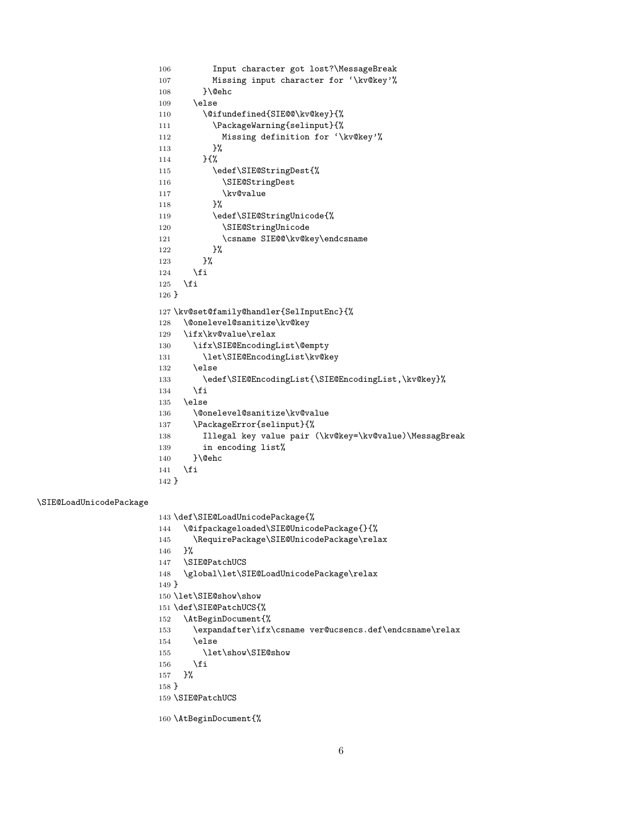```
106 Input character got lost?\MessageBreak
107 Missing input character for '\kv@key'%
108 }\@ehc
109 \else
110 \@ifundefined{SIE@@\kv@key}{%
111 \PackageWarning{selinput}{%
112 Missing definition for '\kv@key'%
113 }%
114 }{%
115 \edef\SIE@StringDest{%
116 \SIE@StringDest
117 \kv@value
118 }%
119 \edef\SIE@StringUnicode{%
120 \SIE@StringUnicode
121 \csname SIE@@\kv@key\endcsname
122 }%
123 }%
124 \fi
125 \fi
126 }
127 \kv@set@family@handler{SelInputEnc}{%
128 \@onelevel@sanitize\kv@key
129 \ifx\kv@value\relax
130 \ifx\SIE@EncodingList\@empty
131 \let\SIE@EncodingList\kv@key
132 \else
133 \edef\SIE@EncodingList{\SIE@EncodingList,\kv@key}%
134 \fi
135 \else
136 \@onelevel@sanitize\kv@value
137 \PackageError{selinput}{%
138 Illegal key value pair (\kv@key=\kv@value)\MessagBreak
139 in encoding list%
140 }\@ehc
141 \overrightarrow{fi}142 }
143 \def\SIE@LoadUnicodePackage{%
144 \@ifpackageloaded\SIE@UnicodePackage{}{%
145 \RequirePackage\SIE@UnicodePackage\relax
146 }%
147 \SIE@PatchUCS
148 \global\let\SIE@LoadUnicodePackage\relax
149 }
150 \let\SIE@show\show
```

```
151 \def\SIE@PatchUCS{%
```

```
152 \AtBeginDocument{%
```

```
153 \expandafter\ifx\csname ver@ucsencs.def\endcsname\relax
```

```
154 \else
```

```
155 \let\show\SIE@show
```

```
156 \fi
```

```
157 }%
```

```
158 }
```
<span id="page-5-25"></span><span id="page-5-20"></span><span id="page-5-17"></span><span id="page-5-16"></span><span id="page-5-15"></span><span id="page-5-14"></span><span id="page-5-11"></span><span id="page-5-6"></span><span id="page-5-5"></span><span id="page-5-2"></span><span id="page-5-1"></span>\SIE@LoadUnicodePackage

```
159 \SIE@PatchUCS
```

```
160 \AtBeginDocument{%
```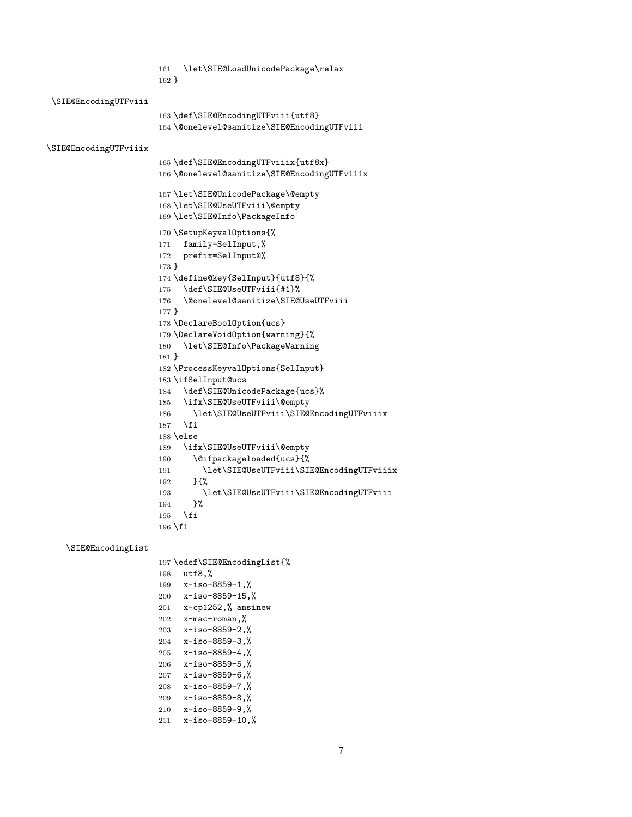```
161 \let\SIE@LoadUnicodePackage\relax
                      162 }
\SIE@EncodingUTFviii
                      163 \def\SIE@EncodingUTFviii{utf8}
                      164 \@onelevel@sanitize\SIE@EncodingUTFviii
\SIE@EncodingUTFviiix
                      165 \def\SIE@EncodingUTFviiix{utf8x}
                      166 \@onelevel@sanitize\SIE@EncodingUTFviiix
                      167 \let\SIE@UnicodePackage\@empty
                      168 \let\SIE@UseUTFviii\@empty
                      169 \let\SIE@Info\PackageInfo
                      170 \SetupKeyvalOptions{%
                      171 family=SelInput,%
                      172 prefix=SelInput@%
                      173 }
                      174 \define@key{SelInput}{utf8}{%
                      175 \def\SIE@UseUTFviii{#1}%
                      176 \@onelevel@sanitize\SIE@UseUTFviii
                      177 }
                      178 \DeclareBoolOption{ucs}
                      179 \DeclareVoidOption{warning}{%
                      180 \let\SIE@Info\PackageWarning
                      181 }
                      182 \ProcessKeyvalOptions{SelInput}
                      183 \ifSelInput@ucs
                      184 \def\SIE@UnicodePackage{ucs}%
                      185 \ifx\SIE@UseUTFviii\@empty
                      186 \let\SIE@UseUTFviii\SIE@EncodingUTFviiix
                      187 \fi
                      188 \else
                      189 \ifx\SIE@UseUTFviii\@empty
                      190 \@ifpackageloaded{ucs}{%
                      191 \let\SIE@UseUTFviii\SIE@EncodingUTFviiix
                      192 }{%
                      193 \let\SIE@UseUTFviii\SIE@EncodingUTFviii
                      194 }%
                      195 \fi
                      196 \fi
```
#### <span id="page-6-16"></span>\SIE@EncodingList

```
197 \edef\SIE@EncodingList{%
198 utf8,%
199 x-iso-8859-1,%
200 x-iso-8859-15,%
201 x-cp1252,% ansinew
202 x-mac-roman,%
203 x-iso-8859-2,%
204 x-iso-8859-3,%
205 x-iso-8859-4,%
206 x-iso-8859-5,%
207 x-iso-8859-6,%
208 x-iso-8859-7,%
209 x-iso-8859-8,%
210 x-iso-8859-9,%
211 x-iso-8859-10,%
```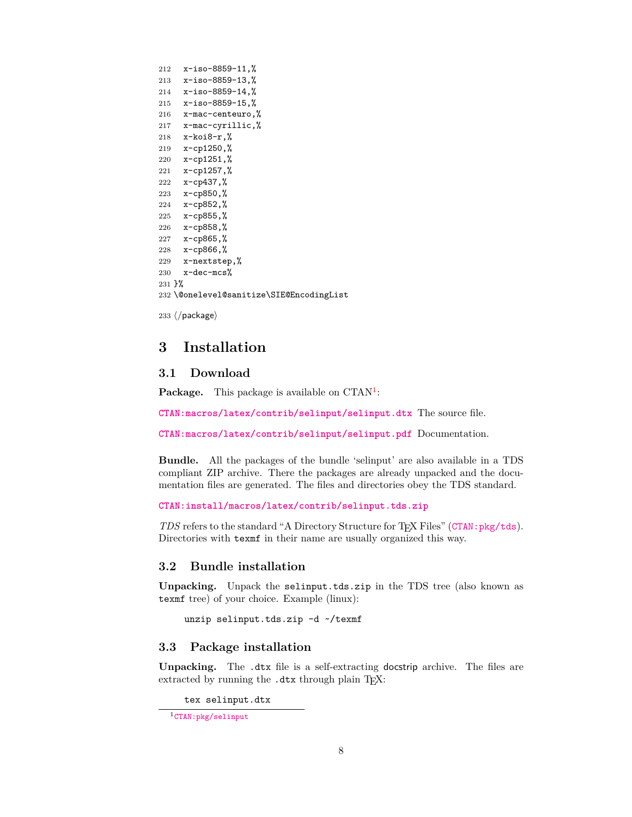```
212 x-iso-8859-11,%
213 x-iso-8859-13,%
214 x-iso-8859-14,%
215 x-iso-8859-15,%
216 x-mac-centeuro,%
217 x-mac-cyrillic,%
218 x-koi8-r,%
219 x-cp1250,%
220 x-cp1251,%
221 x-cp1257,%
222 x-cp437,%
223 x-cp850,%
224 x-cp852,%
225 x-cp855,%
226 x-cp858,%
227 x-cp865,%
228 x-cp866,%
229 x-nextstep,%
230 \times-dec-mcs%
231 }%
232 \@onelevel@sanitize\SIE@EncodingList
```
<span id="page-7-5"></span>233  $\langle$ /package $\rangle$ 

## <span id="page-7-0"></span>**3 Installation**

#### <span id="page-7-1"></span>**3.1 Download**

Package. This package is available on CTAN<sup>[1](#page-7-4)</sup>:

**[CTAN:macros/latex/contrib/selinput/selinput.dtx](https://ctan.org/tex-archive/macros/latex/contrib/selinput/selinput.dtx)** The source file.

**[CTAN:macros/latex/contrib/selinput/selinput.pdf](https://ctan.org/tex-archive/macros/latex/contrib/selinput/selinput.pdf)** Documentation.

**Bundle.** All the packages of the bundle 'selinput' are also available in a TDS compliant ZIP archive. There the packages are already unpacked and the documentation files are generated. The files and directories obey the TDS standard.

```
CTAN:install/macros/latex/contrib/selinput.tds.zip
```
*TDS* refers to the standard "A Directory Structure for T<sub>E</sub>X Files" ([CTAN:pkg/tds](http://ctan.org/pkg/tds)). Directories with texmf in their name are usually organized this way.

#### <span id="page-7-2"></span>**3.2 Bundle installation**

**Unpacking.** Unpack the selinput.tds.zip in the TDS tree (also known as texmf tree) of your choice. Example (linux):

unzip selinput.tds.zip -d ~/texmf

#### <span id="page-7-3"></span>**3.3 Package installation**

**Unpacking.** The .dtx file is a self-extracting docstrip archive. The files are extracted by running the .dtx through plain TFX:

tex selinput.dtx

<span id="page-7-4"></span><sup>1</sup>[CTAN:pkg/selinput](http://ctan.org/pkg/selinput)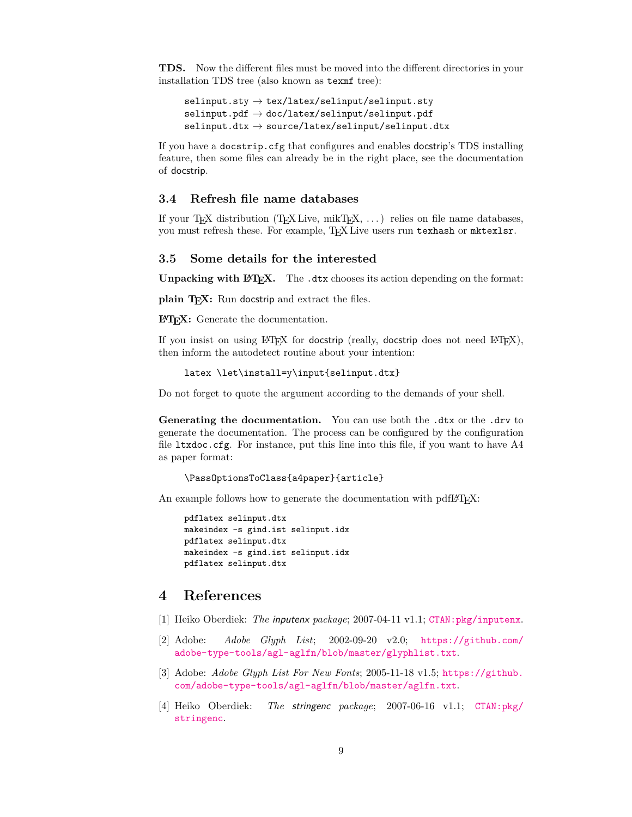**TDS.** Now the different files must be moved into the different directories in your installation TDS tree (also known as texmf tree):

 $\text{selinput}.\text{sty} \rightarrow \text{tex/latex}/\text{selinput} / \text{selinput}.$  $\texttt{selinput.pdf}\rightarrow \texttt{doc/latex}/\texttt{selinput}/\texttt{selinput.pdf}$  $\text{selinput.dat} \rightarrow \text{source/lates/selinput/selinput.dat}$ 

If you have a docstrip.cfg that configures and enables docstrip's TDS installing feature, then some files can already be in the right place, see the documentation of docstrip.

#### <span id="page-8-0"></span>**3.4 Refresh file name databases**

If your T<sub>E</sub>X distribution (T<sub>E</sub>X Live, mikT<sub>E</sub>X,  $\dots$ ) relies on file name databases, you must refresh these. For example, TEX Live users run texhash or mktexlsr.

#### <span id="page-8-1"></span>**3.5 Some details for the interested**

**Unpacking with LA<sub>I</sub>EX**. The .dtx chooses its action depending on the format:

**plain TEX:** Run docstrip and extract the files.

**LATEX:** Generate the documentation.

If you insist on using  $L^2T_FX$  for docstrip (really, docstrip does not need  $L^2T_FX$ ), then inform the autodetect routine about your intention:

```
latex \let\install=y\input{selinput.dtx}
```
Do not forget to quote the argument according to the demands of your shell.

Generating the documentation. You can use both the .dtx or the .drv to generate the documentation. The process can be configured by the configuration file ltxdoc.cfg. For instance, put this line into this file, if you want to have A4 as paper format:

\PassOptionsToClass{a4paper}{article}

An example follows how to generate the documentation with pdfL<sup>AT</sup>FX:

```
pdflatex selinput.dtx
makeindex -s gind.ist selinput.idx
pdflatex selinput.dtx
makeindex -s gind.ist selinput.idx
pdflatex selinput.dtx
```
### <span id="page-8-2"></span>**4 References**

- <span id="page-8-3"></span>[1] Heiko Oberdiek: *The* inputenx *package*; 2007-04-11 v1.1; [CTAN:pkg/inputenx](http://ctan.org/pkg/inputenx).
- <span id="page-8-4"></span>[2] Adobe: *Adobe Glyph List*; 2002-09-20 v2.0; [https://github.com/](https://github.com/adobe-type-tools/agl-aglfn/blob/master/glyphlist.txt) [adobe-type-tools/agl-aglfn/blob/master/glyphlist.txt](https://github.com/adobe-type-tools/agl-aglfn/blob/master/glyphlist.txt).
- <span id="page-8-5"></span>[3] Adobe: *Adobe Glyph List For New Fonts*; 2005-11-18 v1.5; [https://github.](https://github.com/adobe-type-tools/agl-aglfn/blob/master/aglfn.txt) [com/adobe-type-tools/agl-aglfn/blob/master/aglfn.txt](https://github.com/adobe-type-tools/agl-aglfn/blob/master/aglfn.txt).
- <span id="page-8-6"></span>[4] Heiko Oberdiek: *The* stringenc *package*; 2007-06-16 v1.1; [CTAN:pkg/](http://ctan.org/pkg/stringenc) [stringenc](http://ctan.org/pkg/stringenc).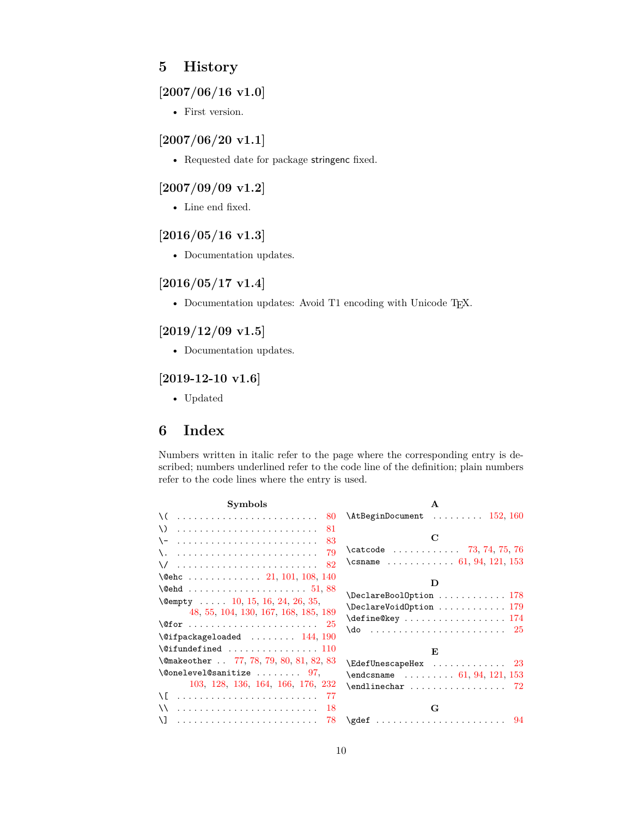### <span id="page-9-0"></span>**5 History**

### <span id="page-9-1"></span>**[2007/06/16 v1.0]**

• First version.

### <span id="page-9-2"></span>**[2007/06/20 v1.1]**

• Requested date for package stringenc fixed.

### <span id="page-9-3"></span>**[2007/09/09 v1.2]**

• Line end fixed.

#### <span id="page-9-4"></span>**[2016/05/16 v1.3]**

• Documentation updates.

#### <span id="page-9-5"></span>**[2016/05/17 v1.4]**

• Documentation updates: Avoid T1 encoding with Unicode TEX.

### <span id="page-9-6"></span>**[2019/12/09 v1.5]**

• Documentation updates.

#### <span id="page-9-7"></span>**[2019-12-10 v1.6]**

• Updated

### <span id="page-9-8"></span>**6 Index**

Numbers written in italic refer to the page where the corresponding entry is described; numbers underlined refer to the code line of the definition; plain numbers refer to the code lines where the entry is used.

| <b>Symbols</b>                                                                                                                                            | $\mathbf{A}$                                                                                                                                                  |
|-----------------------------------------------------------------------------------------------------------------------------------------------------------|---------------------------------------------------------------------------------------------------------------------------------------------------------------|
| \(_<br>80                                                                                                                                                 | $\{\texttt{AtBeginDocument} \dots \dots \dots \ 152, 160\}$                                                                                                   |
| 81<br>$\vee$<br>83<br>\-<br>79<br>\/<br>82<br>\@ehc  21, 101, 108, 140<br>$\text{Qempty}$ 10, 15, 16, 24, 26, 35,<br>48, 55, 104, 130, 167, 168, 185, 189 | \catcode  73, 74, 75, 76<br>\csname  61, 94, 121, 153<br>Ð<br>$\{\text{define@key } \dots \dots \dots \dots \ 174\}$                                          |
| $\setminus$ @ifpackageloaded  144, 190                                                                                                                    |                                                                                                                                                               |
| $\setminus$ @ifundefined  110                                                                                                                             | E                                                                                                                                                             |
| \@makeother  77, 78, 79, 80, 81, 82, 83<br>$\{\texttt{Onelevel}$ 97,<br>103, 128, 136, 164, 166, 176, 232                                                 | $\texttt{\texttt{EdefUnescapeHex}} \dots \dots \dots \dots \ 23$<br>$\end{math}$ cand $\ldots \ldots \ldots \quad 61, 94, 121, 153$<br>$\end{line}$ char $72$ |
| -77<br>$\vee$<br>18<br>$\mathcal{L}$<br>78                                                                                                                | G                                                                                                                                                             |